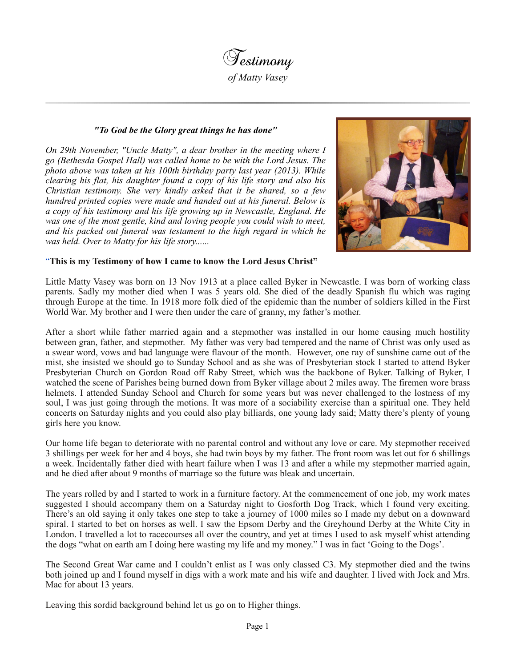

## *"To God be the Glory great things he has done"*

*On 29th November, "Uncle Matty", a dear brother in the meeting where I go (Bethesda Gospel Hall) was called home to be with the Lord Jesus. The photo above was taken at his 100th birthday party last year (2013). While clearing his flat, his daughter found a copy of his life story and also his Christian testimony. She very kindly asked that it be shared, so a few hundred printed copies were made and handed out at his funeral. Below is a copy of his testimony and his life growing up in Newcastle, England. He was one of the most gentle, kind and loving people you could wish to meet, and his packed out funeral was testament to the high regard in which he was held. Over to Matty for his life story......*



## "**This is my Testimony of how I came to know the Lord Jesus Christ"**

Little Matty Vasey was born on 13 Nov 1913 at a place called Byker in Newcastle. I was born of working class parents. Sadly my mother died when I was 5 years old. She died of the deadly Spanish flu which was raging through Europe at the time. In 1918 more folk died of the epidemic than the number of soldiers killed in the First World War. My brother and I were then under the care of granny, my father's mother.

After a short while father married again and a stepmother was installed in our home causing much hostility between gran, father, and stepmother. My father was very bad tempered and the name of Christ was only used as a swear word, vows and bad language were flavour of the month. However, one ray of sunshine came out of the mist, she insisted we should go to Sunday School and as she was of Presbyterian stock I started to attend Byker Presbyterian Church on Gordon Road off Raby Street, which was the backbone of Byker. Talking of Byker, I watched the scene of Parishes being burned down from Byker village about 2 miles away. The firemen wore brass helmets. I attended Sunday School and Church for some years but was never challenged to the lostness of my soul, I was just going through the motions. It was more of a sociability exercise than a spiritual one. They held concerts on Saturday nights and you could also play billiards, one young lady said; Matty there's plenty of young girls here you know.

Our home life began to deteriorate with no parental control and without any love or care. My stepmother received 3 shillings per week for her and 4 boys, she had twin boys by my father. The front room was let out for 6 shillings a week. Incidentally father died with heart failure when I was 13 and after a while my stepmother married again, and he died after about 9 months of marriage so the future was bleak and uncertain.

The years rolled by and I started to work in a furniture factory. At the commencement of one job, my work mates suggested I should accompany them on a Saturday night to Gosforth Dog Track, which I found very exciting. There's an old saying it only takes one step to take a journey of 1000 miles so I made my debut on a downward spiral. I started to bet on horses as well. I saw the Epsom Derby and the Greyhound Derby at the White City in London. I travelled a lot to racecourses all over the country, and yet at times I used to ask myself whist attending the dogs "what on earth am I doing here wasting my life and my money." I was in fact 'Going to the Dogs'.

The Second Great War came and I couldn't enlist as I was only classed C3. My stepmother died and the twins both joined up and I found myself in digs with a work mate and his wife and daughter. I lived with Jock and Mrs. Mac for about 13 years.

Leaving this sordid background behind let us go on to Higher things.